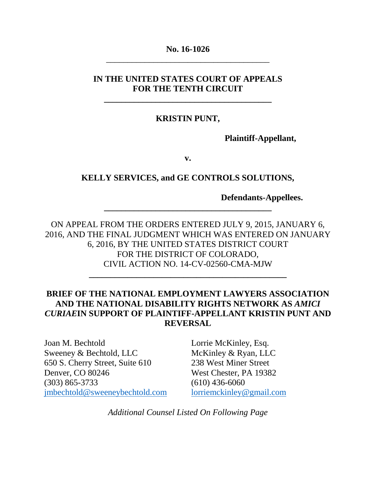## **No. 16-1026** \_\_\_\_\_\_\_\_\_\_\_\_\_\_\_\_\_\_\_\_\_\_\_\_\_\_\_\_\_\_\_\_\_\_\_\_\_\_

## **IN THE UNITED STATES COURT OF APPEALS FOR THE TENTH CIRCUIT**

**\_\_\_\_\_\_\_\_\_\_\_\_\_\_\_\_\_\_\_\_\_\_\_\_\_\_\_\_\_\_\_\_\_\_\_\_\_\_\_**

### **KRISTIN PUNT,**

**Plaintiff-Appellant,**

**v.**

### **KELLY SERVICES, and GE CONTROLS SOLUTIONS,**

**\_\_\_\_\_\_\_\_\_\_\_\_\_\_\_\_\_\_\_\_\_\_\_\_\_\_\_\_\_\_\_\_\_\_\_\_\_\_\_**

**Defendants-Appellees.**

ON APPEAL FROM THE ORDERS ENTERED JULY 9, 2015, JANUARY 6, 2016, AND THE FINAL JUDGMENT WHICH WAS ENTERED ON JANUARY 6, 2016, BY THE UNITED STATES DISTRICT COURT FOR THE DISTRICT OF COLORADO, CIVIL ACTION NO. 14-CV-02560-CMA-MJW

**\_\_\_\_\_\_\_\_\_\_\_\_\_\_\_\_\_\_\_\_\_\_\_\_\_\_\_\_\_\_\_\_\_\_\_\_\_\_\_\_\_\_\_\_\_\_**

## **BRIEF OF THE NATIONAL EMPLOYMENT LAWYERS ASSOCIATION AND THE NATIONAL DISABILITY RIGHTS NETWORK AS** *AMICI CURIAE***IN SUPPORT OF PLAINTIFF-APPELLANT KRISTIN PUNT AND REVERSAL**

Joan M. Bechtold Sweeney & Bechtold, LLC 650 S. Cherry Street, Suite 610 Denver, CO 80246 (303) 865-3733 [jmbechtold@sweeneybechtold.com](mailto:jmbechtold@sweeneybechtold.com)

Lorrie McKinley, Esq. McKinley & Ryan, LLC 238 West Miner Street West Chester, PA 19382  $(610)$  436-6060 [lorriemckinley@gmail.com](mailto:lorriemckinley@gmail.com)

*Additional Counsel Listed On Following Page*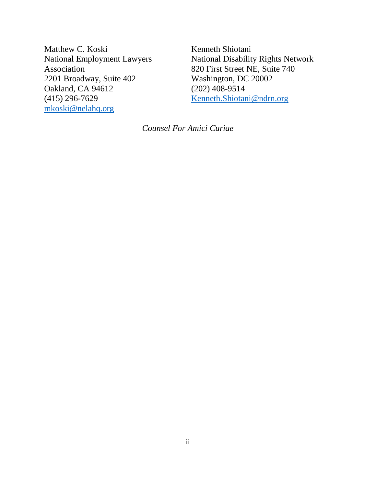Matthew C. Koski National Employment Lawyers Association 2201 Broadway, Suite 402 Oakland, CA 94612 (415) 296-7629 [mkoski@nelahq.org](mailto:mkoski@nelahq.org)

Kenneth Shiotani National Disability Rights Network 820 First Street NE, Suite 740 Washington, DC 20002 (202) 408-9514 [Kenneth.Shiotani@ndrn.org](mailto:Kenneth.Shiotani@ndrn.org)

*Counsel For Amici Curiae*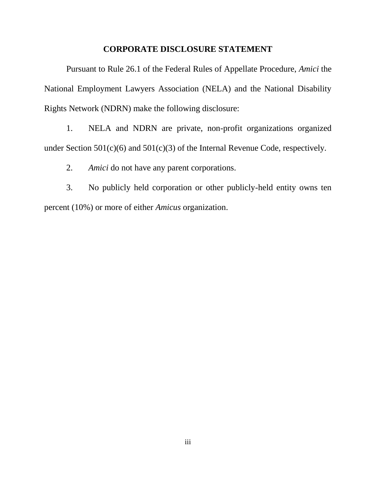#### **CORPORATE DISCLOSURE STATEMENT**

Pursuant to Rule 26.1 of the Federal Rules of Appellate Procedure, *Amici* the National Employment Lawyers Association (NELA) and the National Disability Rights Network (NDRN) make the following disclosure:

1. NELA and NDRN are private, non-profit organizations organized under Section 501(c)(6) and 501(c)(3) of the Internal Revenue Code, respectively.

2. *Amici* do not have any parent corporations.

3. No publicly held corporation or other publicly-held entity owns ten percent (10%) or more of either *Amicus* organization.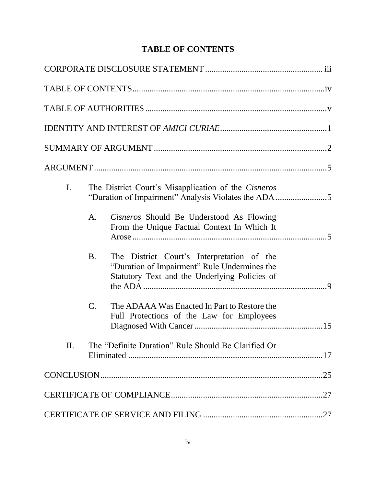# **TABLE OF CONTENTS**

| $\mathbf{I}$ . |                 | The District Court's Misapplication of the Cisneros<br>"Duration of Impairment" Analysis Violates the ADA 5                                 |  |
|----------------|-----------------|---------------------------------------------------------------------------------------------------------------------------------------------|--|
|                | A.              | Cisneros Should Be Understood As Flowing<br>From the Unique Factual Context In Which It                                                     |  |
|                | <b>B.</b>       | The District Court's Interpretation of the<br>"Duration of Impairment" Rule Undermines the<br>Statutory Text and the Underlying Policies of |  |
|                | $\mathcal{C}$ . | The ADAAA Was Enacted In Part to Restore the<br>Full Protections of the Law for Employees                                                   |  |
| II.            |                 | The "Definite Duration" Rule Should Be Clarified Or                                                                                         |  |
|                |                 |                                                                                                                                             |  |
|                |                 |                                                                                                                                             |  |
|                |                 |                                                                                                                                             |  |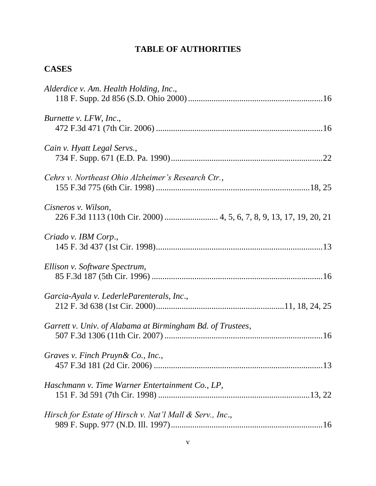# **TABLE OF AUTHORITIES**

## **CASES**

| Alderdice v. Am. Health Holding, Inc.,                     |
|------------------------------------------------------------|
| Burnette v. LFW, Inc.,                                     |
| Cain v. Hyatt Legal Servs.,                                |
| Cehrs v. Northeast Ohio Alzheimer's Research Ctr.,         |
| Cisneros v. Wilson,                                        |
| Criado v. IBM Corp.,                                       |
| Ellison v. Software Spectrum,                              |
| Garcia-Ayala v. LederleParenterals, Inc.,                  |
| Garrett v. Univ. of Alabama at Birmingham Bd. of Trustees, |
| Graves v. Finch Pruyn & Co., Inc.,                         |
| Haschmann v. Time Warner Entertainment Co., LP,            |
| Hirsch for Estate of Hirsch v. Nat'l Mall & Serv., Inc.,   |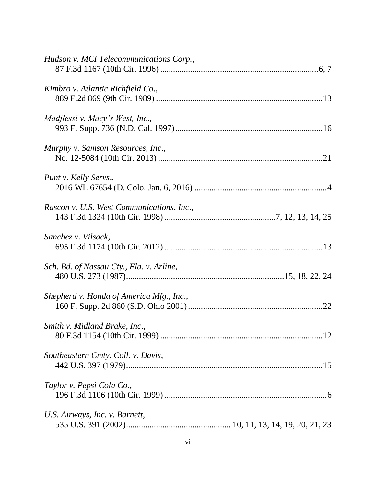| Hudson v. MCI Telecommunications Corp.,   |
|-------------------------------------------|
| Kimbro v. Atlantic Richfield Co.,         |
| Madjlessi v. Macy's West, Inc.,           |
| Murphy v. Samson Resources, Inc.,         |
| Punt v. Kelly Servs.,                     |
| Rascon v. U.S. West Communications, Inc., |
| Sanchez v. Vilsack,                       |
| Sch. Bd. of Nassau Cty., Fla. v. Arline,  |
| Shepherd v. Honda of America Mfg., Inc.,  |
| Smith v. Midland Brake, Inc.,             |
| Southeastern Cmty. Coll. v. Davis,        |
| Taylor v. Pepsi Cola Co.,                 |
| U.S. Airways, Inc. v. Barnett,            |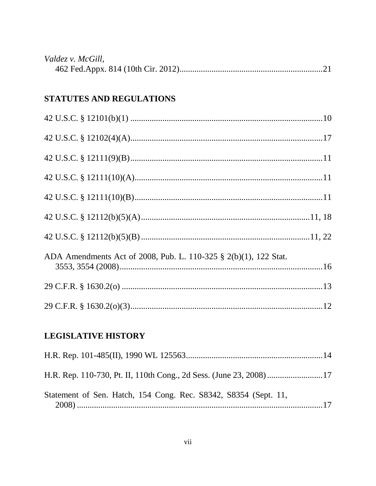| Valdez v. McGill, |  |
|-------------------|--|
|                   |  |

# STATUTES AND REGULATIONS

| ADA Amendments Act of 2008, Pub. L. 110-325 § 2(b)(1), 122 Stat. |  |
|------------------------------------------------------------------|--|
|                                                                  |  |
|                                                                  |  |

# **LEGISLATIVE HISTORY**

| Statement of Sen. Hatch, 154 Cong. Rec. S8342, S8354 (Sept. 11, |  |
|-----------------------------------------------------------------|--|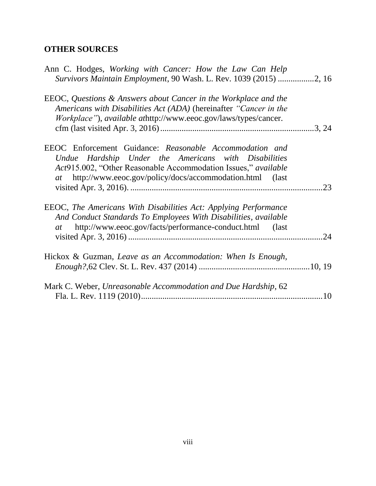# **OTHER SOURCES**

| Ann C. Hodges, Working with Cancer: How the Law Can Help<br>Survivors Maintain Employment, 90 Wash. L. Rev. 1039 (2015) 2, 16                                                                                                                    |     |
|--------------------------------------------------------------------------------------------------------------------------------------------------------------------------------------------------------------------------------------------------|-----|
| EEOC, Questions & Answers about Cancer in the Workplace and the<br>Americans with Disabilities Act (ADA) (hereinafter "Cancer in the<br><i>Workplace"</i> ), <i>available athttp://www.eeoc.gov/laws/types/cancer.</i>                           |     |
| EEOC Enforcement Guidance: Reasonable Accommodation and<br>Undue Hardship Under the Americans with Disabilities<br>Act915.002, "Other Reasonable Accommodation Issues," available<br>at http://www.eeoc.gov/policy/docs/accommodation.html (last | .23 |
| EEOC, The Americans With Disabilities Act: Applying Performance<br>And Conduct Standards To Employees With Disabilities, available<br>http://www.eeoc.gov/facts/performance-conduct.html (last<br>at                                             |     |
| Hickox & Guzman, Leave as an Accommodation: When Is Enough,                                                                                                                                                                                      |     |
| Mark C. Weber, Unreasonable Accommodation and Due Hardship, 62                                                                                                                                                                                   |     |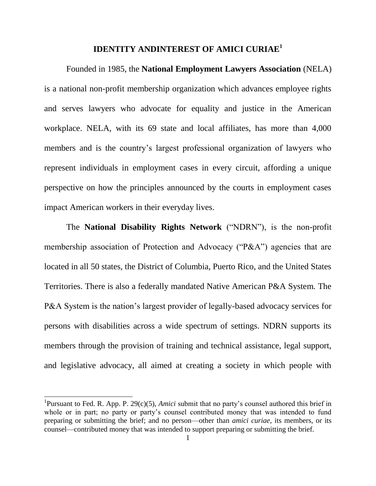### **IDENTITY ANDINTEREST OF AMICI CURIAE<sup>1</sup>**

Founded in 1985, the **National Employment Lawyers Association** (NELA) is a national non-profit membership organization which advances employee rights and serves lawyers who advocate for equality and justice in the American workplace. NELA, with its 69 state and local affiliates, has more than 4,000 members and is the country's largest professional organization of lawyers who represent individuals in employment cases in every circuit, affording a unique perspective on how the principles announced by the courts in employment cases impact American workers in their everyday lives.

The **National Disability Rights Network** ("NDRN"), is the non-profit membership association of Protection and Advocacy (" $P&A$ ") agencies that are located in all 50 states, the District of Columbia, Puerto Rico, and the United States Territories. There is also a federally mandated Native American P&A System. The P&A System is the nation's largest provider of legally-based advocacy services for persons with disabilities across a wide spectrum of settings. NDRN supports its members through the provision of training and technical assistance, legal support, and legislative advocacy, all aimed at creating a society in which people with

<sup>&</sup>lt;sup>1</sup>Pursuant to Fed. R. App. P. 29(c)(5), *Amici* submit that no party's counsel authored this brief in whole or in part; no party or party's counsel contributed money that was intended to fund preparing or submitting the brief; and no person—other than *amici curiae*, its members, or its counsel—contributed money that was intended to support preparing or submitting the brief.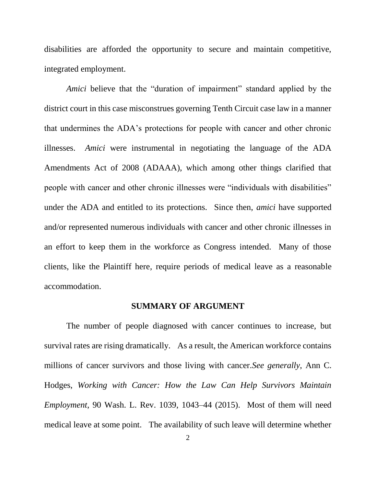disabilities are afforded the opportunity to secure and maintain competitive, integrated employment.

*Amici* believe that the "duration of impairment" standard applied by the district court in this case misconstrues governing Tenth Circuit case law in a manner that undermines the ADA's protections for people with cancer and other chronic illnesses. *Amici* were instrumental in negotiating the language of the ADA Amendments Act of 2008 (ADAAA), which among other things clarified that people with cancer and other chronic illnesses were "individuals with disabilities" under the ADA and entitled to its protections. Since then, *amici* have supported and/or represented numerous individuals with cancer and other chronic illnesses in an effort to keep them in the workforce as Congress intended. Many of those clients, like the Plaintiff here*,* require periods of medical leave as a reasonable accommodation.

#### **SUMMARY OF ARGUMENT**

The number of people diagnosed with cancer continues to increase, but survival rates are rising dramatically. As a result, the American workforce contains millions of cancer survivors and those living with cancer.*See generally*, Ann C. Hodges, *Working with Cancer: How the Law Can Help Survivors Maintain Employment*, 90 Wash. L. Rev. 1039, 1043–44 (2015). Most of them will need medical leave at some point. The availability of such leave will determine whether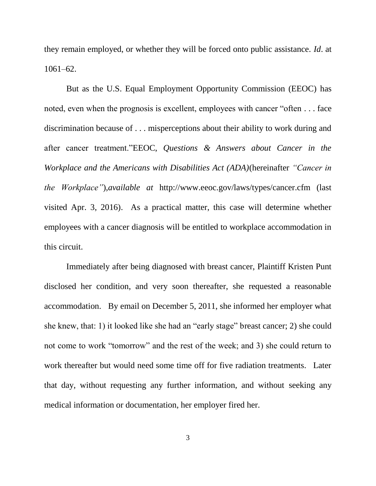they remain employed, or whether they will be forced onto public assistance. *Id*. at 1061–62.

But as the U.S. Equal Employment Opportunity Commission (EEOC) has noted, even when the prognosis is excellent, employees with cancer "often  $\dots$  face discrimination because of . . . misperceptions about their ability to work during and after cancer treatment."EEOC, Questions & Answers about Cancer in the *Workplace and the Americans with Disabilities Act (ADA)*(hereinafter *"Cancer in the Workplace"*),*available at* http://www.eeoc.gov/laws/types/cancer.cfm (last visited Apr. 3, 2016). As a practical matter, this case will determine whether employees with a cancer diagnosis will be entitled to workplace accommodation in this circuit.

Immediately after being diagnosed with breast cancer, Plaintiff Kristen Punt disclosed her condition, and very soon thereafter, she requested a reasonable accommodation. By email on December 5, 2011, she informed her employer what she knew, that: 1) it looked like she had an "early stage" breast cancer; 2) she could not come to work "tomorrow" and the rest of the week; and 3) she could return to work thereafter but would need some time off for five radiation treatments. Later that day, without requesting any further information, and without seeking any medical information or documentation, her employer fired her.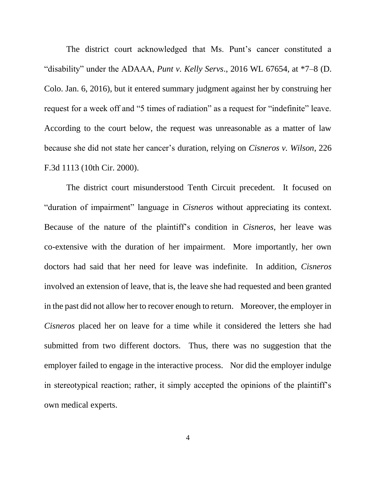The district court acknowledged that Ms. Punt's cancer constituted a "disability" under the ADAAA, *Punt v. Kelly Servs.*, 2016 WL 67654, at \*7–8 (D. Colo. Jan. 6, 2016), but it entered summary judgment against her by construing her request for a week off and "5 times of radiation" as a request for "indefinite" leave. According to the court below, the request was unreasonable as a matter of law because she did not state her cancer's duration, relying on *Cisneros v. Wilson*, 226 F.3d 1113 (10th Cir. 2000).

The district court misunderstood Tenth Circuit precedent. It focused on "duration of impairment" language in *Cisneros* without appreciating its context. Because of the nature of the plaintiff's condition in *Cisneros*, her leave was co-extensive with the duration of her impairment. More importantly, her own doctors had said that her need for leave was indefinite. In addition, *Cisneros* involved an extension of leave, that is, the leave she had requested and been granted in the past did not allow her to recover enough to return. Moreover, the employer in *Cisneros* placed her on leave for a time while it considered the letters she had submitted from two different doctors. Thus, there was no suggestion that the employer failed to engage in the interactive process. Nor did the employer indulge in stereotypical reaction; rather, it simply accepted the opinions of the plaintiff's own medical experts.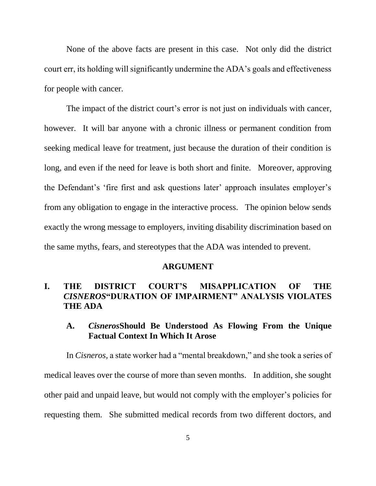None of the above facts are present in this case. Not only did the district court err, its holding will significantly undermine the ADA's goals and effectiveness for people with cancer.

The impact of the district court's error is not just on individuals with cancer, however. It will bar anyone with a chronic illness or permanent condition from seeking medical leave for treatment, just because the duration of their condition is long, and even if the need for leave is both short and finite. Moreover, approving the Defendant's ‗fire first and ask questions later' approach insulates employer's from any obligation to engage in the interactive process. The opinion below sends exactly the wrong message to employers, inviting disability discrimination based on the same myths, fears, and stereotypes that the ADA was intended to prevent.

#### **ARGUMENT**

## **I. THE DISTRICT COURT'S MISAPPLICATION OF THE**  *CISNEROS***"DURATION OF IMPAIRMENT" ANALYSIS VIOLATES THE ADA**

## **A.** *Cisneros***Should Be Understood As Flowing From the Unique Factual Context In Which It Arose**

In *Cisneros*, a state worker had a "mental breakdown," and she took a series of medical leaves over the course of more than seven months. In addition, she sought other paid and unpaid leave, but would not comply with the employer's policies for requesting them. She submitted medical records from two different doctors, and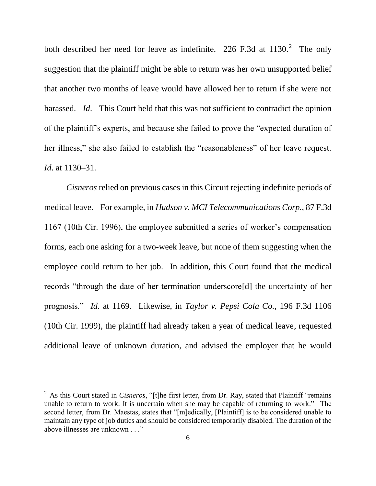both described her need for leave as indefinite. 226 F.3d at  $1130$ .<sup>2</sup> The only suggestion that the plaintiff might be able to return was her own unsupported belief that another two months of leave would have allowed her to return if she were not harassed. *Id.* This Court held that this was not sufficient to contradict the opinion of the plaintiff's experts, and because she failed to prove the "expected duration of her illness," she also failed to establish the "reasonableness" of her leave request. *Id*. at 1130–31.

*Cisneros* relied on previous cases in this Circuit rejecting indefinite periods of medical leave. For example, in *Hudson v. MCI Telecommunications Corp.,* 87 F.3d 1167 (10th Cir. 1996), the employee submitted a series of worker's compensation forms, each one asking for a two-week leave, but none of them suggesting when the employee could return to her job. In addition, this Court found that the medical records "through the date of her termination underscore[d] the uncertainty of her prognosis.‖ *Id*. at 1169. Likewise, in *Taylor v. Pepsi Cola Co.*, 196 F.3d 1106 (10th Cir. 1999), the plaintiff had already taken a year of medical leave, requested additional leave of unknown duration, and advised the employer that he would

l

 $2^2$  As this Court stated in *Cisneros*, "[t]he first letter, from Dr. Ray, stated that Plaintiff "remains" unable to return to work. It is uncertain when she may be capable of returning to work." The second letter, from Dr. Maestas, states that "[m]edically, [Plaintiff] is to be considered unable to maintain any type of job duties and should be considered temporarily disabled. The duration of the above illnesses are unknown . . ."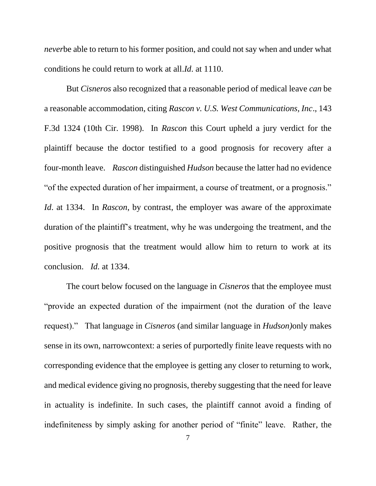*never*be able to return to his former position, and could not say when and under what conditions he could return to work at all.*Id*. at 1110.

But *Cisneros* also recognized that a reasonable period of medical leave *can* be a reasonable accommodation, citing *Rascon v. U.S. West Communications, Inc*., 143 F.3d 1324 (10th Cir. 1998). In *Rascon* this Court upheld a jury verdict for the plaintiff because the doctor testified to a good prognosis for recovery after a four-month leave. *Rascon* distinguished *Hudson* because the latter had no evidence " of the expected duration of her impairment, a course of treatment, or a prognosis." *Id*. at 1334. In *Rascon*, by contrast, the employer was aware of the approximate duration of the plaintiff's treatment, why he was undergoing the treatment, and the positive prognosis that the treatment would allow him to return to work at its conclusion. *Id.* at 1334.

The court below focused on the language in *Cisneros* that the employee must "provide an expected duration of the impairment (not the duration of the leave request).‖ That language in *Cisneros* (and similar language in *Hudson)*only makes sense in its own, narrowcontext: a series of purportedly finite leave requests with no corresponding evidence that the employee is getting any closer to returning to work, and medical evidence giving no prognosis, thereby suggesting that the need for leave in actuality is indefinite. In such cases, the plaintiff cannot avoid a finding of indefiniteness by simply asking for another period of "finite" leave. Rather, the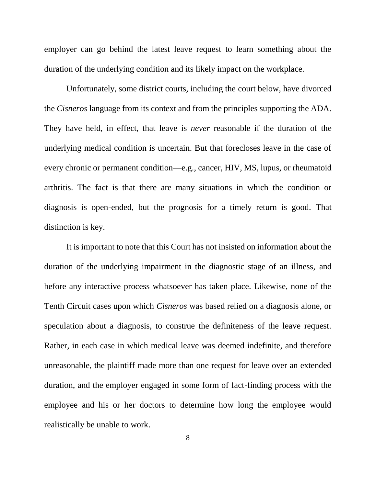employer can go behind the latest leave request to learn something about the duration of the underlying condition and its likely impact on the workplace.

Unfortunately, some district courts, including the court below, have divorced the *Cisneros* language from its context and from the principles supporting the ADA. They have held, in effect, that leave is *never* reasonable if the duration of the underlying medical condition is uncertain. But that forecloses leave in the case of every chronic or permanent condition—e.g., cancer, HIV, MS, lupus, or rheumatoid arthritis. The fact is that there are many situations in which the condition or diagnosis is open-ended, but the prognosis for a timely return is good. That distinction is key.

It is important to note that this Court has not insisted on information about the duration of the underlying impairment in the diagnostic stage of an illness, and before any interactive process whatsoever has taken place. Likewise, none of the Tenth Circuit cases upon which *Cisneros* was based relied on a diagnosis alone, or speculation about a diagnosis, to construe the definiteness of the leave request. Rather, in each case in which medical leave was deemed indefinite, and therefore unreasonable, the plaintiff made more than one request for leave over an extended duration, and the employer engaged in some form of fact-finding process with the employee and his or her doctors to determine how long the employee would realistically be unable to work.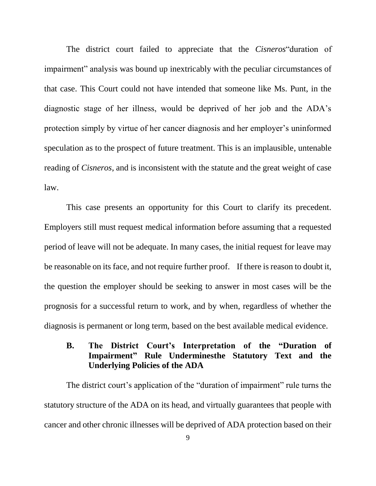The district court failed to appreciate that the *Cisneros* duration of impairment" analysis was bound up inextricably with the peculiar circumstances of that case. This Court could not have intended that someone like Ms. Punt, in the diagnostic stage of her illness, would be deprived of her job and the ADA's protection simply by virtue of her cancer diagnosis and her employer's uninformed speculation as to the prospect of future treatment. This is an implausible, untenable reading of *Cisneros*, and is inconsistent with the statute and the great weight of case law.

This case presents an opportunity for this Court to clarify its precedent. Employers still must request medical information before assuming that a requested period of leave will not be adequate. In many cases, the initial request for leave may be reasonable on its face, and not require further proof. If there is reason to doubt it, the question the employer should be seeking to answer in most cases will be the prognosis for a successful return to work, and by when, regardless of whether the diagnosis is permanent or long term, based on the best available medical evidence.

## **B. The District Court's Interpretation of the "Duration of Impairment" Rule Underminesthe Statutory Text and the Underlying Policies of the ADA**

The district court's application of the "duration of impairment" rule turns the statutory structure of the ADA on its head, and virtually guarantees that people with cancer and other chronic illnesses will be deprived of ADA protection based on their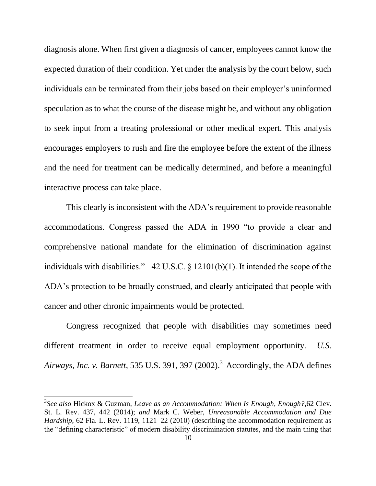diagnosis alone. When first given a diagnosis of cancer, employees cannot know the expected duration of their condition. Yet under the analysis by the court below, such individuals can be terminated from their jobs based on their employer's uninformed speculation as to what the course of the disease might be, and without any obligation to seek input from a treating professional or other medical expert. This analysis encourages employers to rush and fire the employee before the extent of the illness and the need for treatment can be medically determined, and before a meaningful interactive process can take place.

This clearly is inconsistent with the ADA's requirement to provide reasonable accommodations. Congress passed the ADA in 1990 "to provide a clear and comprehensive national mandate for the elimination of discrimination against individuals with disabilities."  $42 \text{ U.S.C.}$  §  $12101(b)(1)$ . It intended the scope of the ADA's protection to be broadly construed, and clearly anticipated that people with cancer and other chronic impairments would be protected.

Congress recognized that people with disabilities may sometimes need different treatment in order to receive equal employment opportunity. *U.S. Airways, Inc. v. Barnett*, 535 U.S. 391, 397 (2002).<sup>3</sup> Accordingly, the ADA defines

<sup>3</sup> *See also* Hickox & Guzman, *Leave as an Accommodation: When Is Enough, Enough?,*62 Clev. St. L. Rev. 437, 442 (2014); *and* Mark C. Weber, *Unreasonable Accommodation and Due Hardship*, 62 Fla. L. Rev. 1119, 1121–22 (2010) (describing the accommodation requirement as the "defining characteristic" of modern disability discrimination statutes, and the main thing that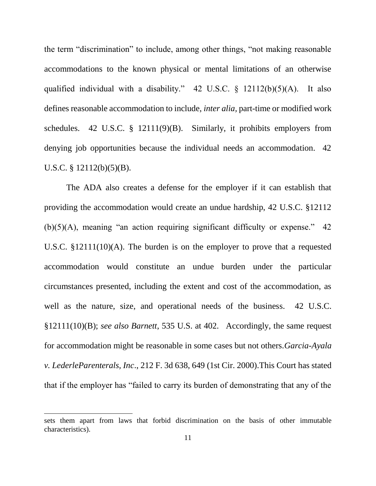the term "discrimination" to include, among other things, "not making reasonable accommodations to the known physical or mental limitations of an otherwise qualified individual with a disability." 42 U.S.C.  $\S$  12112(b)(5)(A). It also defines reasonable accommodation to include, *inter alia,* part-time or modified work schedules. 42 U.S.C.  $\S$  12111(9)(B). Similarly, it prohibits employers from denying job opportunities because the individual needs an accommodation. 42 U.S.C.  $\S$  12112(b)(5)(B).

The ADA also creates a defense for the employer if it can establish that providing the accommodation would create an undue hardship, 42 U.S.C. §12112  $(b)(5)(A)$ , meaning "an action requiring significant difficulty or expense." 42 U.S.C. §12111(10)(A). The burden is on the employer to prove that a requested accommodation would constitute an undue burden under the particular circumstances presented, including the extent and cost of the accommodation, as well as the nature, size, and operational needs of the business. 42 U.S.C. §12111(10)(B); *see also Barnett*, 535 U.S. at 402. Accordingly, the same request for accommodation might be reasonable in some cases but not others.*Garcia-Ayala v. LederleParenterals, Inc*., 212 F. 3d 638, 649 (1st Cir. 2000).This Court has stated that if the employer has "failed to carry its burden of demonstrating that any of the

sets them apart from laws that forbid discrimination on the basis of other immutable characteristics).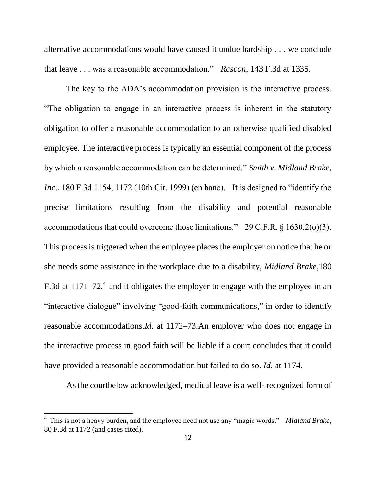alternative accommodations would have caused it undue hardship . . . we conclude that leave . . . was a reasonable accommodation." *Rascon*, 143 F.3d at 1335.

The key to the ADA's accommodation provision is the interactive process. ―The obligation to engage in an interactive process is inherent in the statutory obligation to offer a reasonable accommodation to an otherwise qualified disabled employee. The interactive process is typically an essential component of the process by which a reasonable accommodation can be determined." *Smith v. Midland Brake, Inc.*, 180 F.3d 1154, 1172 (10th Cir. 1999) (en banc). It is designed to "identify the precise limitations resulting from the disability and potential reasonable accommodations that could overcome those limitations."  $29$  C.F.R. § 1630.2(o)(3). This process is triggered when the employee places the employer on notice that he or she needs some assistance in the workplace due to a disability, *Midland Brake*,180 F.3d at  $1171-72$ , and it obligates the employer to engage with the employee in an "interactive dialogue" involving "good-faith communications," in order to identify reasonable accommodations.*Id*. at 1172–73.An employer who does not engage in the interactive process in good faith will be liable if a court concludes that it could have provided a reasonable accommodation but failed to do so. *Id.* at 1174.

As the courtbelow acknowledged, medical leave is a well- recognized form of

<sup>&</sup>lt;sup>4</sup> This is not a heavy burden, and the employee need not use any "magic words." *Midland Brake*, 80 F.3d at 1172 (and cases cited).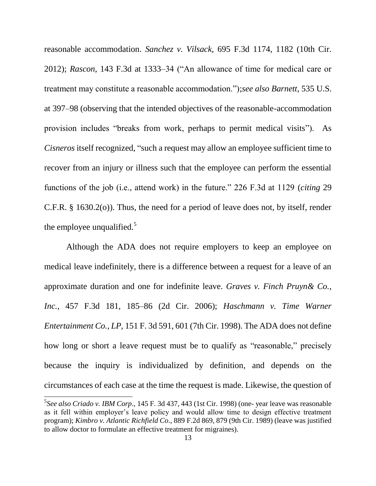reasonable accommodation. *Sanchez v. Vilsack,* 695 F.3d 1174, 1182 (10th Cir. 2012); *Rascon*, 143 F.3d at 1333–34 ("An allowance of time for medical care or treatment may constitute a reasonable accommodation.‖);*see also Barnett*, 535 U.S. at 397–98 (observing that the intended objectives of the reasonable-accommodation provision includes "breaks from work, perhaps to permit medical visits"). As *Cisneros* itself recognized, "such a request may allow an employee sufficient time to recover from an injury or illness such that the employee can perform the essential functions of the job (i.e., attend work) in the future." 226 F.3d at 1129 (*citing* 29 C.F.R. § 1630.2(o)). Thus, the need for a period of leave does not, by itself, render the employee unqualified. $5$ 

Although the ADA does not require employers to keep an employee on medical leave indefinitely, there is a difference between a request for a leave of an approximate duration and one for indefinite leave. *Graves v. Finch Pruyn& Co., Inc.,* 457 F.3d 181, 185–86 (2d Cir. 2006); *Haschmann v. Time Warner Entertainment Co., LP,* 151 F. 3d 591, 601 (7th Cir. 1998). The ADA does not define how long or short a leave request must be to qualify as "reasonable," precisely because the inquiry is individualized by definition, and depends on the circumstances of each case at the time the request is made. Likewise, the question of

<sup>5</sup> *See also Criado v. IBM Corp*., 145 F. 3d 437, 443 (1st Cir. 1998) (one- year leave was reasonable as it fell within employer's leave policy and would allow time to design effective treatment program); *Kimbro v. Atlantic Richfield Co*., 889 F.2d 869, 879 (9th Cir. 1989) (leave was justified to allow doctor to formulate an effective treatment for migraines).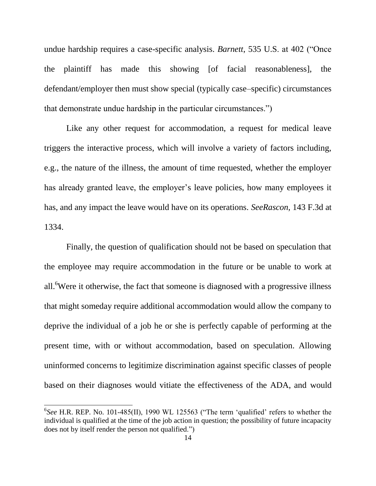undue hardship requires a case-specific analysis. *Barnett*, 535 U.S. at 402 ("Once the plaintiff has made this showing [of facial reasonableness], the defendant/employer then must show special (typically case–specific) circumstances that demonstrate undue hardship in the particular circumstances."

Like any other request for accommodation, a request for medical leave triggers the interactive process, which will involve a variety of factors including, e.g., the nature of the illness, the amount of time requested, whether the employer has already granted leave, the employer's leave policies, how many employees it has, and any impact the leave would have on its operations. *SeeRascon,* 143 F.3d at 1334.

Finally, the question of qualification should not be based on speculation that the employee may require accommodation in the future or be unable to work at all.<sup>6</sup>Were it otherwise, the fact that someone is diagnosed with a progressive illness that might someday require additional accommodation would allow the company to deprive the individual of a job he or she is perfectly capable of performing at the present time, with or without accommodation, based on speculation. Allowing uninformed concerns to legitimize discrimination against specific classes of people based on their diagnoses would vitiate the effectiveness of the ADA, and would

 ${}^{6}$ See H.R. REP. No. 101-485(II), 1990 WL 125563 ("The term 'qualified' refers to whether the individual is qualified at the time of the job action in question; the possibility of future incapacity does not by itself render the person not qualified.")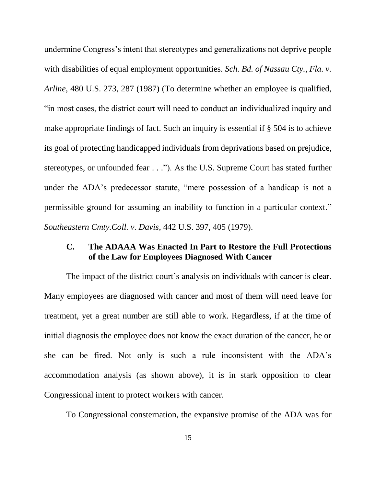undermine Congress's intent that stereotypes and generalizations not deprive people with disabilities of equal employment opportunities. *Sch. Bd. of Nassau Cty., Fla. v. Arline*, 480 U.S. 273, 287 (1987) (To determine whether an employee is qualified, ―in most cases, the district court will need to conduct an individualized inquiry and make appropriate findings of fact. Such an inquiry is essential if § 504 is to achieve its goal of protecting handicapped individuals from deprivations based on prejudice, stereotypes, or unfounded fear . . ."). As the U.S. Supreme Court has stated further under the ADA's predecessor statute, "mere possession of a handicap is not a permissible ground for assuming an inability to function in a particular context." *Southeastern Cmty.Coll. v. Davis*, 442 U.S. 397, 405 (1979).

### **C. The ADAAA Was Enacted In Part to Restore the Full Protections of the Law for Employees Diagnosed With Cancer**

The impact of the district court's analysis on individuals with cancer is clear. Many employees are diagnosed with cancer and most of them will need leave for treatment, yet a great number are still able to work. Regardless, if at the time of initial diagnosis the employee does not know the exact duration of the cancer, he or she can be fired. Not only is such a rule inconsistent with the ADA's accommodation analysis (as shown above), it is in stark opposition to clear Congressional intent to protect workers with cancer.

To Congressional consternation, the expansive promise of the ADA was for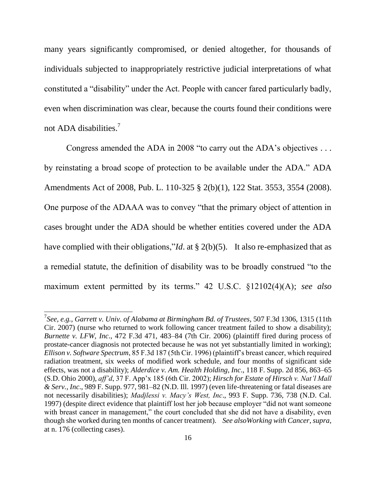many years significantly compromised, or denied altogether, for thousands of individuals subjected to inappropriately restrictive judicial interpretations of what constituted a "disability" under the Act. People with cancer fared particularly badly, even when discrimination was clear, because the courts found their conditions were not ADA disabilities.<sup>7</sup>

Congress amended the ADA in 2008 "to carry out the ADA's objectives  $\dots$ by reinstating a broad scope of protection to be available under the ADA." ADA Amendments Act of 2008, Pub. L. 110-325 § 2(b)(1), 122 Stat. 3553, 3554 (2008). One purpose of the ADAAA was to convey "that the primary object of attention in cases brought under the ADA should be whether entities covered under the ADA have complied with their obligations,"*Id*. at  $\S$  2(b)(5). It also re-emphasized that as a remedial statute, the definition of disability was to be broadly construed "to the maximum extent permitted by its terms." 42 U.S.C. §12102(4)(A); *see also* 

<sup>7</sup> *See, e.g., Garrett v. Univ. of Alabama at Birmingham Bd. of Trustees*, 507 F.3d 1306, 1315 (11th Cir. 2007) (nurse who returned to work following cancer treatment failed to show a disability); *Burnette v. LFW, Inc*., 472 F.3d 471, 483–84 (7th Cir. 2006) (plaintiff fired during process of prostate-cancer diagnosis not protected because he was not yet substantially limited in working); *Ellison v. Software Spectrum*, 85 F.3d 187 (5th Cir. 1996) (plaintiff's breast cancer, which required radiation treatment, six weeks of modified work schedule, and four months of significant side effects, was not a disability); *Alderdice v. Am. Health Holding, Inc*., 118 F. Supp. 2d 856, 863–65 (S.D. Ohio 2000), *aff'd*, 37 F. App'x 185 (6th Cir. 2002); *Hirsch for Estate of Hirsch v. Nat'l Mall & Serv., Inc*., 989 F. Supp. 977, 981–82 (N.D. Ill. 1997) (even life-threatening or fatal diseases are not necessarily disabilities); *Madjlessi v. Macy's West, Inc*., 993 F. Supp. 736, 738 (N.D. Cal. 1997) (despite direct evidence that plaintiff lost her job because employer "did not want someone" with breast cancer in management," the court concluded that she did not have a disability, even though she worked during ten months of cancer treatment). *See alsoWorking with Cancer*, *supra*, at n. 176 (collecting cases).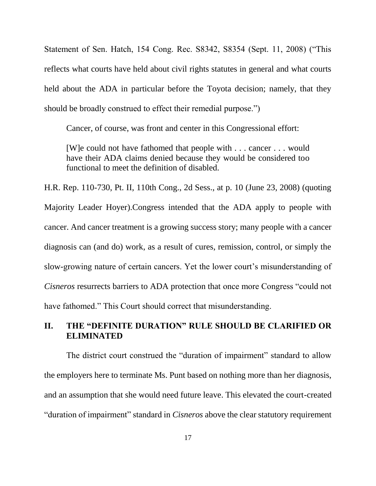Statement of Sen. Hatch, 154 Cong. Rec. S8342, S8354 (Sept. 11, 2008) ("This reflects what courts have held about civil rights statutes in general and what courts held about the ADA in particular before the Toyota decision; namely, that they should be broadly construed to effect their remedial purpose."

Cancer, of course, was front and center in this Congressional effort:

[W]e could not have fathomed that people with . . . cancer . . . would have their ADA claims denied because they would be considered too functional to meet the definition of disabled.

H.R. Rep. 110-730, Pt. II, 110th Cong., 2d Sess., at p. 10 (June 23, 2008) (quoting Majority Leader Hoyer).Congress intended that the ADA apply to people with cancer. And cancer treatment is a growing success story; many people with a cancer diagnosis can (and do) work, as a result of cures, remission, control, or simply the slow-growing nature of certain cancers. Yet the lower court's misunderstanding of *Cisneros* resurrects barriers to ADA protection that once more Congress "could not have fathomed." This Court should correct that misunderstanding.

# **II. THE "DEFINITE DURATION" RULE SHOULD BE CLARIFIED OR ELIMINATED**

The district court construed the "duration of impairment" standard to allow the employers here to terminate Ms. Punt based on nothing more than her diagnosis, and an assumption that she would need future leave. This elevated the court-created ―duration of impairment‖ standard in *Cisneros* above the clear statutory requirement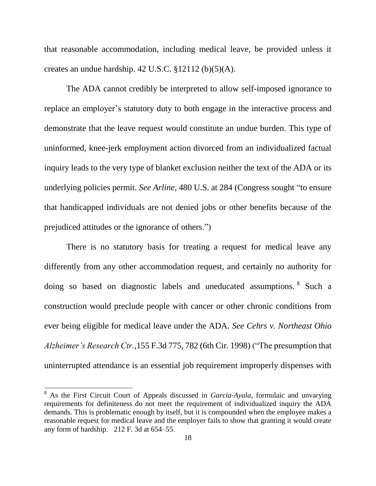that reasonable accommodation, including medical leave, be provided unless it creates an undue hardship. 42 U.S.C. §12112 (b)(5)(A).

The ADA cannot credibly be interpreted to allow self-imposed ignorance to replace an employer's statutory duty to both engage in the interactive process and demonstrate that the leave request would constitute an undue burden. This type of uninformed, knee-jerk employment action divorced from an individualized factual inquiry leads to the very type of blanket exclusion neither the text of the ADA or its underlying policies permit. *See Arline*, 480 U.S. at 284 (Congress sought "to ensure that handicapped individuals are not denied jobs or other benefits because of the prejudiced attitudes or the ignorance of others.")

There is no statutory basis for treating a request for medical leave any differently from any other accommodation request, and certainly no authority for doing so based on diagnostic labels and uneducated assumptions. <sup>8</sup> Such a construction would preclude people with cancer or other chronic conditions from ever being eligible for medical leave under the ADA. *See Cehrs v. Northeast Ohio Alzheimer's Research Ctr.*,155 F.3d 775, 782 (6th Cir. 1998) ("The presumption that uninterrupted attendance is an essential job requirement improperly dispenses with

l

<sup>8</sup> As the First Circuit Court of Appeals discussed in *Garcia-Ayala*, formulaic and unvarying requirements for definiteness do not meet the requirement of individualized inquiry the ADA demands. This is problematic enough by itself, but it is compounded when the employee makes a reasonable request for medical leave and the employer fails to show that granting it would create any form of hardship. 212 F. 3d at 654–55.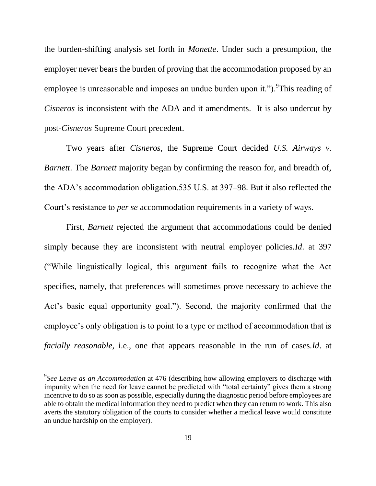the burden-shifting analysis set forth in *Monette*. Under such a presumption, the employer never bears the burden of proving that the accommodation proposed by an employee is unreasonable and imposes an undue burden upon it."). <sup>9</sup>This reading of *Cisneros* is inconsistent with the ADA and it amendments. It is also undercut by post-*Cisneros* Supreme Court precedent.

Two years after *Cisneros,* the Supreme Court decided *U.S. Airways v. Barnett*. The *Barnett* majority began by confirming the reason for, and breadth of, the ADA's accommodation obligation.535 U.S. at 397–98. But it also reflected the Court's resistance to *per se* accommodation requirements in a variety of ways.

First, *Barnett* rejected the argument that accommodations could be denied simply because they are inconsistent with neutral employer policies.*Id*. at 397 (―While linguistically logical, this argument fails to recognize what the Act specifies, namely, that preferences will sometimes prove necessary to achieve the Act's basic equal opportunity goal."). Second, the majority confirmed that the employee's only obligation is to point to a type or method of accommodation that is *facially reasonable*, i.e., one that appears reasonable in the run of cases.*Id*. at

 $\overline{\phantom{a}}$ 

<sup>9</sup> *See Leave as an Accommodation* at 476 (describing how allowing employers to discharge with impunity when the need for leave cannot be predicted with "total certainty" gives them a strong incentive to do so as soon as possible, especially during the diagnostic period before employees are able to obtain the medical information they need to predict when they can return to work. This also averts the statutory obligation of the courts to consider whether a medical leave would constitute an undue hardship on the employer).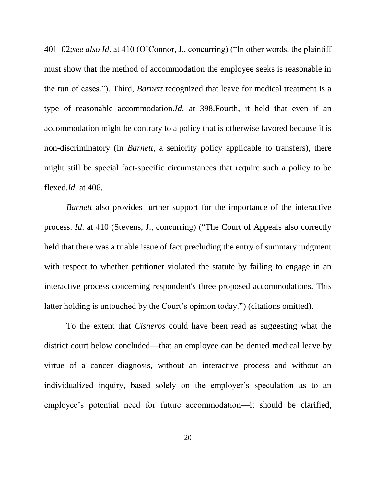401–02;*see also Id.* at 410 (O'Connor, J., concurring) ("In other words, the plaintiff must show that the method of accommodation the employee seeks is reasonable in the run of cases.‖). Third, *Barnett* recognized that leave for medical treatment is a type of reasonable accommodation.*Id*. at 398.Fourth, it held that even if an accommodation might be contrary to a policy that is otherwise favored because it is non-discriminatory (in *Barnett*, a seniority policy applicable to transfers), there might still be special fact-specific circumstances that require such a policy to be flexed.*Id*. at 406.

*Barnett* also provides further support for the importance of the interactive process. *Id.* at 410 (Stevens, J., concurring) ("The Court of Appeals also correctly held that there was a triable issue of fact precluding the entry of summary judgment with respect to whether petitioner violated the statute by failing to engage in an interactive process concerning respondent's three proposed accommodations. This latter holding is untouched by the Court's opinion today.") (citations omitted).

To the extent that *Cisneros* could have been read as suggesting what the district court below concluded—that an employee can be denied medical leave by virtue of a cancer diagnosis, without an interactive process and without an individualized inquiry, based solely on the employer's speculation as to an employee's potential need for future accommodation—it should be clarified,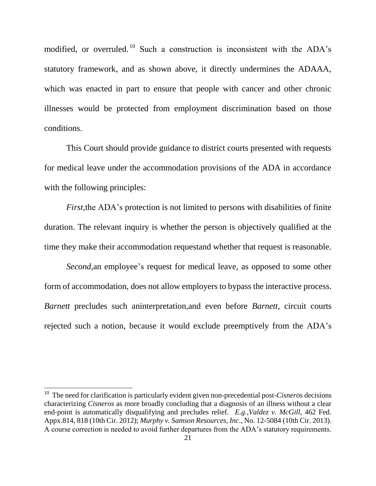modified, or overruled. <sup>10</sup> Such a construction is inconsistent with the ADA's statutory framework, and as shown above, it directly undermines the ADAAA, which was enacted in part to ensure that people with cancer and other chronic illnesses would be protected from employment discrimination based on those conditions.

This Court should provide guidance to district courts presented with requests for medical leave under the accommodation provisions of the ADA in accordance with the following principles:

*First*, the ADA's protection is not limited to persons with disabilities of finite duration. The relevant inquiry is whether the person is objectively qualified at the time they make their accommodation requestand whether that request is reasonable.

*Second,*an employee's request for medical leave, as opposed to some other form of accommodation, does not allow employers to bypass the interactive process. *Barnett* precludes such aninterpretation,and even before *Barnett,* circuit courts rejected such a notion, because it would exclude preemptively from the ADA's

l

<sup>10</sup> The need for clarification is particularly evident given non-precedential post-*Cisneros* decisions characterizing *Cisneros* as more broadly concluding that a diagnosis of an illness without a clear end-point is automatically disqualifying and precludes relief. *E.g.,Valdez v. McGill*, 462 Fed. Appx.814, 818 (10th Cir. 2012); *Murphy v. Samson Resources, Inc*., No. 12-5084 (10th Cir. 2013). A course correction is needed to avoid further departures from the ADA's statutory requirements.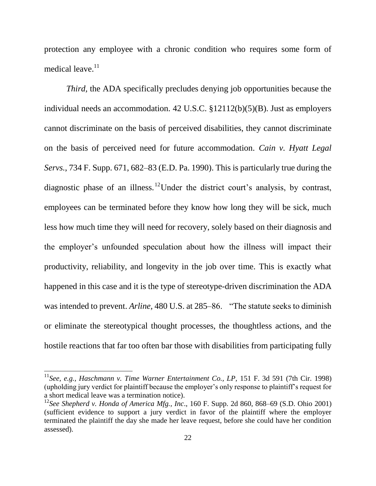protection any employee with a chronic condition who requires some form of medical leave. $11$ 

*Third,* the ADA specifically precludes denying job opportunities because the individual needs an accommodation. 42 U.S.C. §12112(b)(5)(B). Just as employers cannot discriminate on the basis of perceived disabilities, they cannot discriminate on the basis of perceived need for future accommodation. *Cain v. Hyatt Legal Servs.*, 734 F. Supp. 671, 682–83 (E.D. Pa. 1990). This is particularly true during the diagnostic phase of an illness.<sup>12</sup>Under the district court's analysis, by contrast, employees can be terminated before they know how long they will be sick, much less how much time they will need for recovery, solely based on their diagnosis and the employer's unfounded speculation about how the illness will impact their productivity, reliability, and longevity in the job over time. This is exactly what happened in this case and it is the type of stereotype-driven discrimination the ADA was intended to prevent. *Arline*, 480 U.S. at 285–86. "The statute seeks to diminish or eliminate the stereotypical thought processes, the thoughtless actions, and the hostile reactions that far too often bar those with disabilities from participating fully

 $\overline{\phantom{a}}$ 

<sup>&</sup>lt;sup>11</sup>See, e.g., Haschmann v. Time Warner Entertainment Co., LP, 151 F. 3d 591 (7th Cir. 1998) (upholding jury verdict for plaintiff because the employer's only response to plaintiff's request for a short medical leave was a termination notice).

<sup>12</sup>*See Shepherd v. Honda of America Mfg., Inc*., 160 F. Supp. 2d 860, 868–69 (S.D. Ohio 2001) (sufficient evidence to support a jury verdict in favor of the plaintiff where the employer terminated the plaintiff the day she made her leave request, before she could have her condition assessed).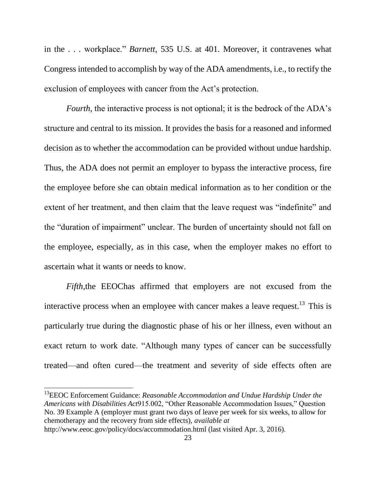in the . . . workplace." *Barnett*, 535 U.S. at 401. Moreover, it contravenes what Congress intended to accomplish by way of the ADA amendments, i.e., to rectify the exclusion of employees with cancer from the Act's protection.

*Fourth*, the interactive process is not optional; it is the bedrock of the ADA's structure and central to its mission. It provides the basis for a reasoned and informed decision as to whether the accommodation can be provided without undue hardship. Thus, the ADA does not permit an employer to bypass the interactive process, fire the employee before she can obtain medical information as to her condition or the extent of her treatment, and then claim that the leave request was "indefinite" and the "duration of impairment" unclear. The burden of uncertainty should not fall on the employee, especially, as in this case, when the employer makes no effort to ascertain what it wants or needs to know.

*Fifth*,the EEOChas affirmed that employers are not excused from the interactive process when an employee with cancer makes a leave request.<sup>13</sup> This is particularly true during the diagnostic phase of his or her illness, even without an exact return to work date. "Although many types of cancer can be successfully treated—and often cured—the treatment and severity of side effects often are

<sup>13</sup>EEOC Enforcement Guidance: *Reasonable Accommodation and Undue Hardship Under the Americans with Disabilities Act*915.002, "Other Reasonable Accommodation Issues," Question No. 39 Example A (employer must grant two days of leave per week for six weeks, to allow for chemotherapy and the recovery from side effects), *available at*  http://www.eeoc.gov/policy/docs/accommodation.html (last visited Apr. 3, 2016).

l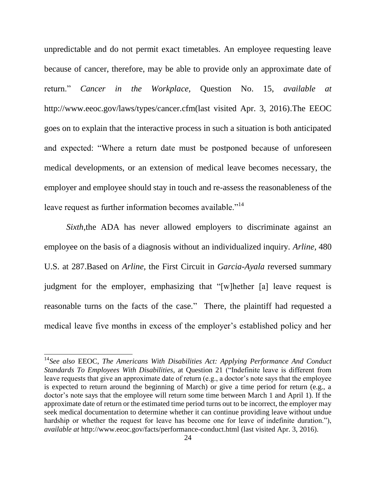unpredictable and do not permit exact timetables. An employee requesting leave because of cancer, therefore, may be able to provide only an approximate date of return.‖ *Cancer in the Workplace,* Question No. 15, *available at*  http://www.eeoc.gov/laws/types/cancer.cfm(last visited Apr. 3, 2016).The EEOC goes on to explain that the interactive process in such a situation is both anticipated and expected: "Where a return date must be postponed because of unforeseen medical developments, or an extension of medical leave becomes necessary, the employer and employee should stay in touch and re-assess the reasonableness of the leave request as further information becomes available."<sup>14</sup>

*Sixth*, the ADA has never allowed employers to discriminate against an employee on the basis of a diagnosis without an individualized inquiry. *Arline,* 480 U.S. at 287.Based on *Arline,* the First Circuit in *Garcia-Ayala* reversed summary judgment for the employer, emphasizing that "[w]hether [a] leave request is reasonable turns on the facts of the case." There, the plaintiff had requested a medical leave five months in excess of the employer's established policy and her

<sup>14</sup>*See also* EEOC, *The Americans With Disabilities Act: Applying Performance And Conduct Standards To Employees With Disabilities, at Question 21 ("Indefinite leave is different from* leave requests that give an approximate date of return (e.g., a doctor's note says that the employee is expected to return around the beginning of March) or give a time period for return (e.g., a doctor's note says that the employee will return some time between March 1 and April 1). If the approximate date of return or the estimated time period turns out to be incorrect, the employer may seek medical documentation to determine whether it can continue providing leave without undue hardship or whether the request for leave has become one for leave of indefinite duration."), *available at* http://www.eeoc.gov/facts/performance-conduct.html (last visited Apr. 3, 2016).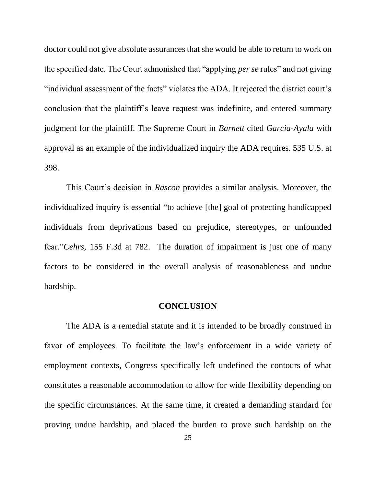doctor could not give absolute assurances that she would be able to return to work on the specified date. The Court admonished that "applying *per se* rules" and not giving "individual assessment of the facts" violates the ADA. It rejected the district court's conclusion that the plaintiff's leave request was indefinite, and entered summary judgment for the plaintiff. The Supreme Court in *Barnett* cited *Garcia-Ayala* with approval as an example of the individualized inquiry the ADA requires. 535 U.S. at 398.

This Court's decision in *Rascon* provides a similar analysis. Moreover, the individualized inquiry is essential "to achieve [the] goal of protecting handicapped individuals from deprivations based on prejudice, stereotypes, or unfounded fear."*Cehrs*, 155 F.3d at 782. The duration of impairment is just one of many factors to be considered in the overall analysis of reasonableness and undue hardship.

#### **CONCLUSION**

The ADA is a remedial statute and it is intended to be broadly construed in favor of employees. To facilitate the law's enforcement in a wide variety of employment contexts, Congress specifically left undefined the contours of what constitutes a reasonable accommodation to allow for wide flexibility depending on the specific circumstances. At the same time, it created a demanding standard for proving undue hardship, and placed the burden to prove such hardship on the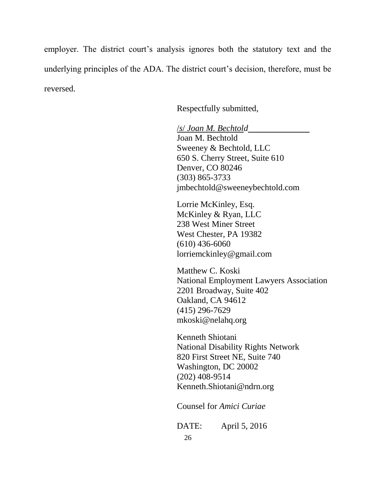employer. The district court's analysis ignores both the statutory text and the underlying principles of the ADA. The district court's decision, therefore, must be reversed.

Respectfully submitted,

/*s*/ *Joan M. Bechtold* Joan M. Bechtold Sweeney & Bechtold, LLC 650 S. Cherry Street, Suite 610 Denver, CO 80246 (303) 865-3733 jmbechtold@sweeneybechtold.com

Lorrie McKinley, Esq. McKinley & Ryan, LLC 238 West Miner Street West Chester, PA 19382 (610) 436-6060 lorriemckinley@gmail.com

Matthew C. Koski National Employment Lawyers Association 2201 Broadway, Suite 402 Oakland, CA 94612 (415) 296-7629 mkoski@nelahq.org

Kenneth Shiotani National Disability Rights Network 820 First Street NE, Suite 740 Washington, DC 20002 (202) 408-9514 Kenneth.Shiotani@ndrn.org

Counsel for *Amici Curiae*

DATE: April 5, 2016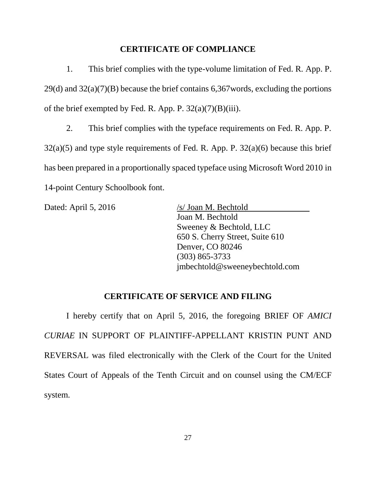### **CERTIFICATE OF COMPLIANCE**

1. This brief complies with the type-volume limitation of Fed. R. App. P. 29(d) and 32(a)(7)(B) because the brief contains 6,367words, excluding the portions of the brief exempted by Fed. R. App. P.  $32(a)(7)(B)(iii)$ .

2. This brief complies with the typeface requirements on Fed. R. App. P. 32(a)(5) and type style requirements of Fed. R. App. P. 32(a)(6) because this brief has been prepared in a proportionally spaced typeface using Microsoft Word 2010 in 14-point Century Schoolbook font.

Dated: April 5, 2016 /s/ Joan M. Bechtold

Joan M. Bechtold Sweeney & Bechtold, LLC 650 S. Cherry Street, Suite 610 Denver, CO 80246 (303) 865-3733 jmbechtold@sweeneybechtold.com

### **CERTIFICATE OF SERVICE AND FILING**

I hereby certify that on April 5, 2016, the foregoing BRIEF OF *AMICI CURIAE* IN SUPPORT OF PLAINTIFF-APPELLANT KRISTIN PUNT AND REVERSAL was filed electronically with the Clerk of the Court for the United States Court of Appeals of the Tenth Circuit and on counsel using the CM/ECF system.